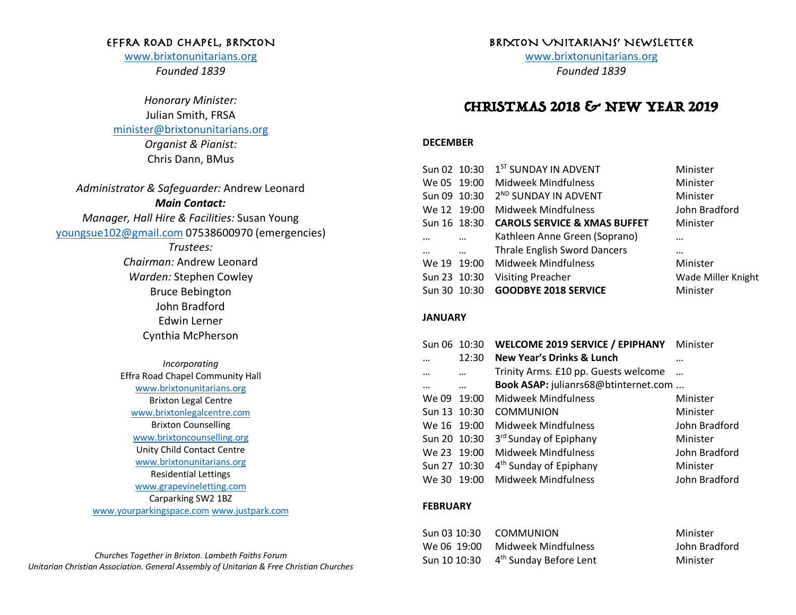## EFFRA ROAD CHAPEL, BRIXTON

www.brixtonunitarians.org *Founded 1839*

*Honorary Minister:* Julian Smith, FRSA minister@brixtonunitarians.org *Organist & Pianist:* Chris Dann, BMus

*Administrator & Safeguarder:* Andrew Leonard *Main Contact: Manager, Hall Hire & Facilities:* Susan Young youngsue102@gmail.com 07538600970 (emergencies) *Trustees: Chairman:* Andrew Leonard *Warden:* Stephen Cowley Bruce Bebington John Bradford Edwin Lerner Cynthia McPherson *Incorporating* Effra Road Chapel Community Hall www.brixtonunitarians.org Brixton Legal Centre www.brixtonlegalcentre.com Brixton Counselling www.brixtoncounselling.org Unity Child Contact Centre www.brixtonunitarians.org Residential Lettings www.grapevineletting.com Carparking SW2 1BZ www.yourparkingspace.com www.justpark.com

*Churches Together in Brixton. Lambeth Faiths Forum Unitarian Christian Association. General Assembly of Unitarian & Free Christian Churches*

## BRIXTON UNITARIANS' NEWSLETTER

www.brixtonunitarians.org *Founded 1839*

# CHRISTMAS 2018 & NEW YEAR 2019

### **DECEMBER**

|              | Sun 02 10:30 | 1 <sup>ST</sup> SUNDAY IN ADVENT        | Minister           |
|--------------|--------------|-----------------------------------------|--------------------|
| We 05 19:00  |              | <b>Midweek Mindfulness</b>              | Minister           |
| Sun 09 10:30 |              | 2 <sup>ND</sup> SUNDAY IN ADVENT        | Minister           |
| We 12 19:00  |              | Midweek Mindfulness                     | John Bradford      |
| Sun 16 18:30 |              | <b>CAROLS SERVICE &amp; XMAS BUFFET</b> | Minister           |
|              |              | Kathleen Anne Green (Soprano)           | $\cdots$           |
|              | $\cdots$     | <b>Thrale English Sword Dancers</b>     |                    |
| We 19 19:00  |              | <b>Midweek Mindfulness</b>              | Minister           |
| Sun 23 10:30 |              | <b>Visiting Preacher</b>                | Wade Miller Knight |
| Sun 30 10:30 |              | <b>GOODBYE 2018 SERVICE</b>             | Minister           |

#### **JANUARY**

| Sun 06        | 10:30 | WELCOME 2019 SERVICE / EPIPHANY Minister |               |
|---------------|-------|------------------------------------------|---------------|
|               | 12:30 | <b>New Year's Drinks &amp; Lunch</b>     |               |
|               |       | Trinity Arms. £10 pp. Guests welcome     |               |
|               |       | Book ASAP: julianrs68@btinternet.com     |               |
| We 09         | 19:00 | <b>Midweek Mindfulness</b>               | Minister      |
| <b>Sun 13</b> | 10:30 | <b>COMMUNION</b>                         | Minister      |
| We 16 19:00   |       | Midweek Mindfulness                      | John Bradford |
| Sun 20 10:30  |       | 3rd Sunday of Epiphany                   | Minister      |
| We 23 19:00   |       | Midweek Mindfulness                      | John Bradford |
| Sun 27 10:30  |       | 4 <sup>th</sup> Sunday of Epiphany       | Minister      |
| We 30         | 19:00 | <b>Midweek Mindfulness</b>               | John Bradford |

#### **FEBRUARY**

| Sun 03 10:30 COMMUNION                          | Minister      |
|-------------------------------------------------|---------------|
| We 06 19:00 Midweek Mindfulness                 | John Bradford |
| Sun 10 10:30 4 <sup>th</sup> Sunday Before Lent | Minister      |